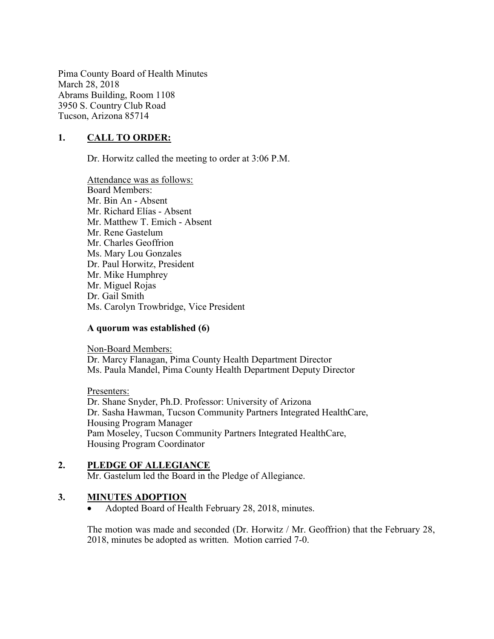Pima County Board of Health Minutes March 28, 2018 Abrams Building, Room 1108 3950 S. Country Club Road Tucson, Arizona 85714

## 1. CALL TO ORDER:

Dr. Horwitz called the meeting to order at 3:06 P.M.

Attendance was as follows: Board Members: Mr. Bin An - Absent Mr. Richard Elías - Absent Mr. Matthew T. Emich - Absent Mr. Rene Gastelum Mr. Charles Geoffrion Ms. Mary Lou Gonzales Dr. Paul Horwitz, President Mr. Mike Humphrey Mr. Miguel Rojas Dr. Gail Smith Ms. Carolyn Trowbridge, Vice President

#### A quorum was established (6)

Non-Board Members: Dr. Marcy Flanagan, Pima County Health Department Director Ms. Paula Mandel, Pima County Health Department Deputy Director

Presenters: Dr. Shane Snyder, Ph.D. Professor: University of Arizona Dr. Sasha Hawman, Tucson Community Partners Integrated HealthCare, Housing Program Manager Pam Moseley, Tucson Community Partners Integrated HealthCare, Housing Program Coordinator

#### 2. PLEDGE OF ALLEGIANCE

Mr. Gastelum led the Board in the Pledge of Allegiance.

#### 3. MINUTES ADOPTION

Adopted Board of Health February 28, 2018, minutes.

The motion was made and seconded (Dr. Horwitz / Mr. Geoffrion) that the February 28, 2018, minutes be adopted as written. Motion carried 7-0.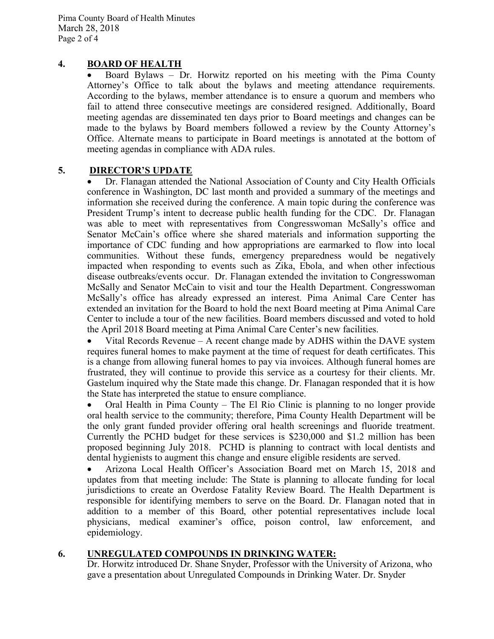## 4. BOARD OF HEALTH

 Board Bylaws – Dr. Horwitz reported on his meeting with the Pima County Attorney's Office to talk about the bylaws and meeting attendance requirements. According to the bylaws, member attendance is to ensure a quorum and members who fail to attend three consecutive meetings are considered resigned. Additionally, Board meeting agendas are disseminated ten days prior to Board meetings and changes can be made to the bylaws by Board members followed a review by the County Attorney's Office. Alternate means to participate in Board meetings is annotated at the bottom of meeting agendas in compliance with ADA rules.

#### 5. DIRECTOR'S UPDATE

 Dr. Flanagan attended the National Association of County and City Health Officials conference in Washington, DC last month and provided a summary of the meetings and information she received during the conference. A main topic during the conference was President Trump's intent to decrease public health funding for the CDC. Dr. Flanagan was able to meet with representatives from Congresswoman McSally's office and Senator McCain's office where she shared materials and information supporting the importance of CDC funding and how appropriations are earmarked to flow into local communities. Without these funds, emergency preparedness would be negatively impacted when responding to events such as Zika, Ebola, and when other infectious disease outbreaks/events occur. Dr. Flanagan extended the invitation to Congresswoman McSally and Senator McCain to visit and tour the Health Department. Congresswoman McSally's office has already expressed an interest. Pima Animal Care Center has extended an invitation for the Board to hold the next Board meeting at Pima Animal Care Center to include a tour of the new facilities. Board members discussed and voted to hold the April 2018 Board meeting at Pima Animal Care Center's new facilities.

 Vital Records Revenue – A recent change made by ADHS within the DAVE system requires funeral homes to make payment at the time of request for death certificates. This is a change from allowing funeral homes to pay via invoices. Although funeral homes are frustrated, they will continue to provide this service as a courtesy for their clients. Mr. Gastelum inquired why the State made this change. Dr. Flanagan responded that it is how the State has interpreted the statue to ensure compliance.

 Oral Health in Pima County – The El Rio Clinic is planning to no longer provide oral health service to the community; therefore, Pima County Health Department will be the only grant funded provider offering oral health screenings and fluoride treatment. Currently the PCHD budget for these services is \$230,000 and \$1.2 million has been proposed beginning July 2018. PCHD is planning to contract with local dentists and dental hygienists to augment this change and ensure eligible residents are served.

 Arizona Local Health Officer's Association Board met on March 15, 2018 and updates from that meeting include: The State is planning to allocate funding for local jurisdictions to create an Overdose Fatality Review Board. The Health Department is responsible for identifying members to serve on the Board. Dr. Flanagan noted that in addition to a member of this Board, other potential representatives include local physicians, medical examiner's office, poison control, law enforcement, and epidemiology.

#### 6. UNREGULATED COMPOUNDS IN DRINKING WATER:

Dr. Horwitz introduced Dr. Shane Snyder, Professor with the University of Arizona, who gave a presentation about Unregulated Compounds in Drinking Water. Dr. Snyder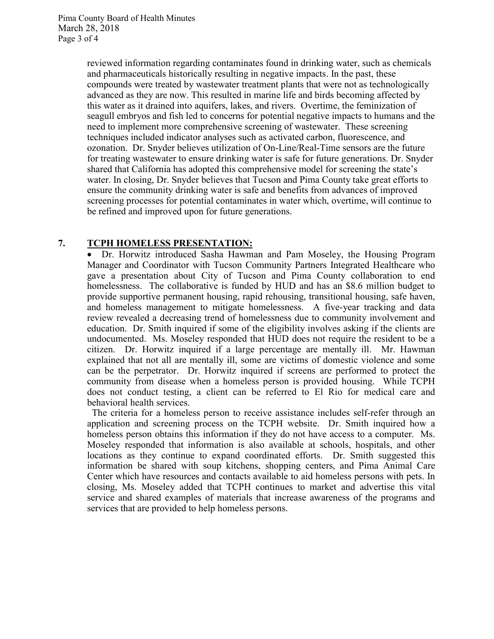reviewed information regarding contaminates found in drinking water, such as chemicals and pharmaceuticals historically resulting in negative impacts. In the past, these compounds were treated by wastewater treatment plants that were not as technologically advanced as they are now. This resulted in marine life and birds becoming affected by this water as it drained into aquifers, lakes, and rivers. Overtime, the feminization of seagull embryos and fish led to concerns for potential negative impacts to humans and the need to implement more comprehensive screening of wastewater. These screening techniques included indicator analyses such as activated carbon, fluorescence, and ozonation. Dr. Snyder believes utilization of On-Line/Real-Time sensors are the future for treating wastewater to ensure drinking water is safe for future generations. Dr. Snyder shared that California has adopted this comprehensive model for screening the state's water. In closing, Dr. Snyder believes that Tucson and Pima County take great efforts to ensure the community drinking water is safe and benefits from advances of improved screening processes for potential contaminates in water which, overtime, will continue to be refined and improved upon for future generations.

#### 7. TCPH HOMELESS PRESENTATION:

 Dr. Horwitz introduced Sasha Hawman and Pam Moseley, the Housing Program Manager and Coordinator with Tucson Community Partners Integrated Healthcare who gave a presentation about City of Tucson and Pima County collaboration to end homelessness. The collaborative is funded by HUD and has an \$8.6 million budget to provide supportive permanent housing, rapid rehousing, transitional housing, safe haven, and homeless management to mitigate homelessness. A five-year tracking and data review revealed a decreasing trend of homelessness due to community involvement and education. Dr. Smith inquired if some of the eligibility involves asking if the clients are undocumented. Ms. Moseley responded that HUD does not require the resident to be a citizen. Dr. Horwitz inquired if a large percentage are mentally ill. Mr. Hawman explained that not all are mentally ill, some are victims of domestic violence and some can be the perpetrator. Dr. Horwitz inquired if screens are performed to protect the community from disease when a homeless person is provided housing. While TCPH does not conduct testing, a client can be referred to El Rio for medical care and behavioral health services.

 The criteria for a homeless person to receive assistance includes self-refer through an application and screening process on the TCPH website. Dr. Smith inquired how a homeless person obtains this information if they do not have access to a computer. Ms. Moseley responded that information is also available at schools, hospitals, and other locations as they continue to expand coordinated efforts. Dr. Smith suggested this information be shared with soup kitchens, shopping centers, and Pima Animal Care Center which have resources and contacts available to aid homeless persons with pets. In closing, Ms. Moseley added that TCPH continues to market and advertise this vital service and shared examples of materials that increase awareness of the programs and services that are provided to help homeless persons.